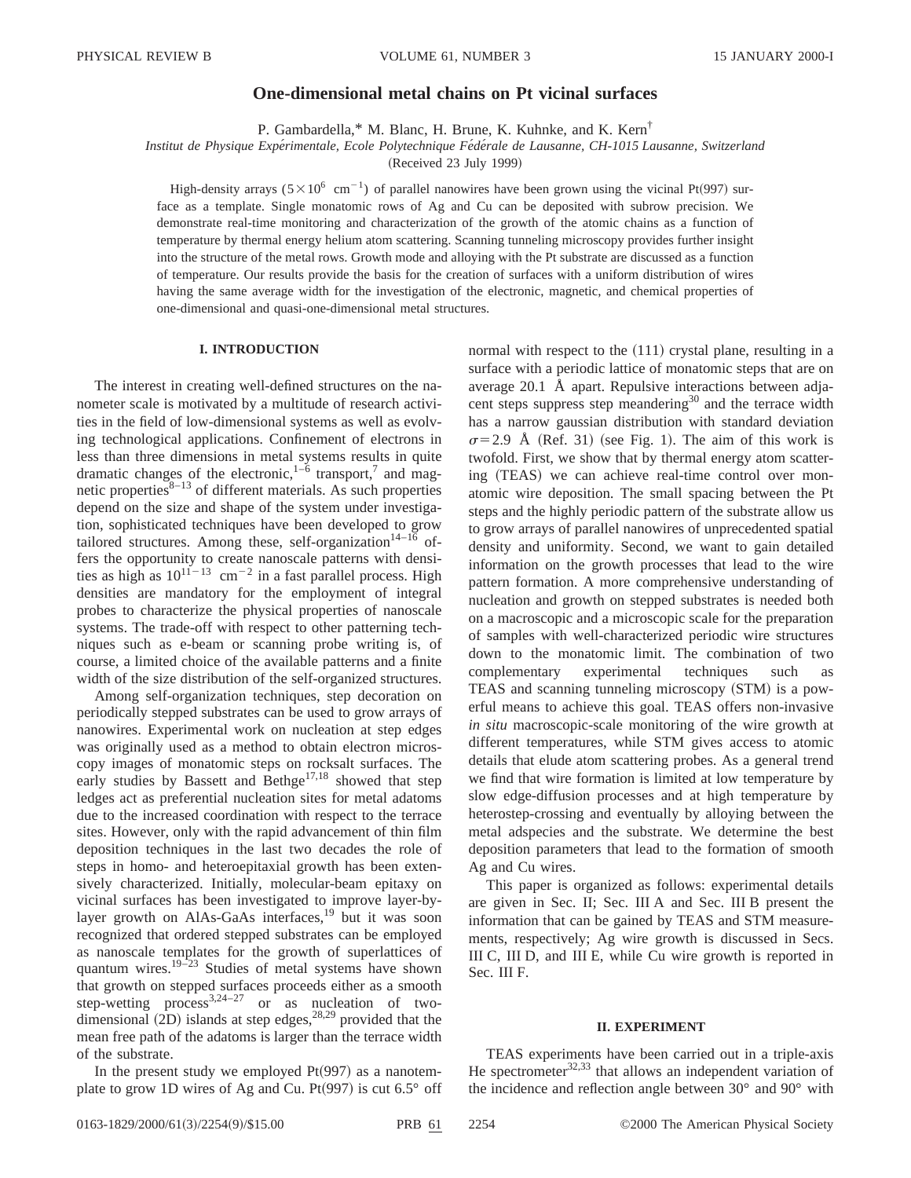# **One-dimensional metal chains on Pt vicinal surfaces**

P. Gambardella,\* M. Blanc, H. Brune, K. Kuhnke, and K. Kern†

*Institut de Physique Expe´rimentale, Ecole Polytechnique Fe´de´rale de Lausanne, CH-1015 Lausanne, Switzerland*

(Received 23 July 1999)

High-density arrays ( $5\times10^6$  cm<sup>-1</sup>) of parallel nanowires have been grown using the vicinal Pt(997) surface as a template. Single monatomic rows of Ag and Cu can be deposited with subrow precision. We demonstrate real-time monitoring and characterization of the growth of the atomic chains as a function of temperature by thermal energy helium atom scattering. Scanning tunneling microscopy provides further insight into the structure of the metal rows. Growth mode and alloying with the Pt substrate are discussed as a function of temperature. Our results provide the basis for the creation of surfaces with a uniform distribution of wires having the same average width for the investigation of the electronic, magnetic, and chemical properties of one-dimensional and quasi-one-dimensional metal structures.

### **I. INTRODUCTION**

The interest in creating well-defined structures on the nanometer scale is motivated by a multitude of research activities in the field of low-dimensional systems as well as evolving technological applications. Confinement of electrons in less than three dimensions in metal systems results in quite dramatic changes of the electronic,  $1-6$  transport,<sup>7</sup> and magnetic properties $8-13$  of different materials. As such properties depend on the size and shape of the system under investigation, sophisticated techniques have been developed to grow tailored structures. Among these, self-organization<sup>14–16</sup> offers the opportunity to create nanoscale patterns with densities as high as  $10^{11-13}$  cm<sup>-2</sup> in a fast parallel process. High densities are mandatory for the employment of integral probes to characterize the physical properties of nanoscale systems. The trade-off with respect to other patterning techniques such as e-beam or scanning probe writing is, of course, a limited choice of the available patterns and a finite width of the size distribution of the self-organized structures.

Among self-organization techniques, step decoration on periodically stepped substrates can be used to grow arrays of nanowires. Experimental work on nucleation at step edges was originally used as a method to obtain electron microscopy images of monatomic steps on rocksalt surfaces. The early studies by Bassett and Bethge $17,18$  showed that step ledges act as preferential nucleation sites for metal adatoms due to the increased coordination with respect to the terrace sites. However, only with the rapid advancement of thin film deposition techniques in the last two decades the role of steps in homo- and heteroepitaxial growth has been extensively characterized. Initially, molecular-beam epitaxy on vicinal surfaces has been investigated to improve layer-bylayer growth on AlAs-GaAs interfaces,<sup>19</sup> but it was soon recognized that ordered stepped substrates can be employed as nanoscale templates for the growth of superlattices of quantum wires.<sup>19–23</sup> Studies of metal systems have shown that growth on stepped surfaces proceeds either as a smooth step-wetting process<sup>3,24–27</sup> or as nucleation of twodimensional  $(2D)$  islands at step edges,<sup>28,29</sup> provided that the mean free path of the adatoms is larger than the terrace width of the substrate.

In the present study we employed  $Pt(997)$  as a nanotemplate to grow 1D wires of Ag and Cu. Pt $(997)$  is cut 6.5° off normal with respect to the  $(111)$  crystal plane, resulting in a surface with a periodic lattice of monatomic steps that are on average 20.1 Å apart. Repulsive interactions between adjacent steps suppress step meandering<sup>30</sup> and the terrace width has a narrow gaussian distribution with standard deviation  $\sigma$ =2.9 Å (Ref. 31) (see Fig. 1). The aim of this work is twofold. First, we show that by thermal energy atom scattering (TEAS) we can achieve real-time control over monatomic wire deposition. The small spacing between the Pt steps and the highly periodic pattern of the substrate allow us to grow arrays of parallel nanowires of unprecedented spatial density and uniformity. Second, we want to gain detailed information on the growth processes that lead to the wire pattern formation. A more comprehensive understanding of nucleation and growth on stepped substrates is needed both on a macroscopic and a microscopic scale for the preparation of samples with well-characterized periodic wire structures down to the monatomic limit. The combination of two complementary experimental techniques such as TEAS and scanning tunneling microscopy (STM) is a powerful means to achieve this goal. TEAS offers non-invasive *in situ* macroscopic-scale monitoring of the wire growth at different temperatures, while STM gives access to atomic details that elude atom scattering probes. As a general trend we find that wire formation is limited at low temperature by slow edge-diffusion processes and at high temperature by heterostep-crossing and eventually by alloying between the metal adspecies and the substrate. We determine the best deposition parameters that lead to the formation of smooth Ag and Cu wires.

This paper is organized as follows: experimental details are given in Sec. II; Sec. III A and Sec. III B present the information that can be gained by TEAS and STM measurements, respectively; Ag wire growth is discussed in Secs. III C, III D, and III E, while Cu wire growth is reported in Sec. III F.

### **II. EXPERIMENT**

TEAS experiments have been carried out in a triple-axis He spectrometer $^{32,33}$  that allows an independent variation of the incidence and reflection angle between 30° and 90° with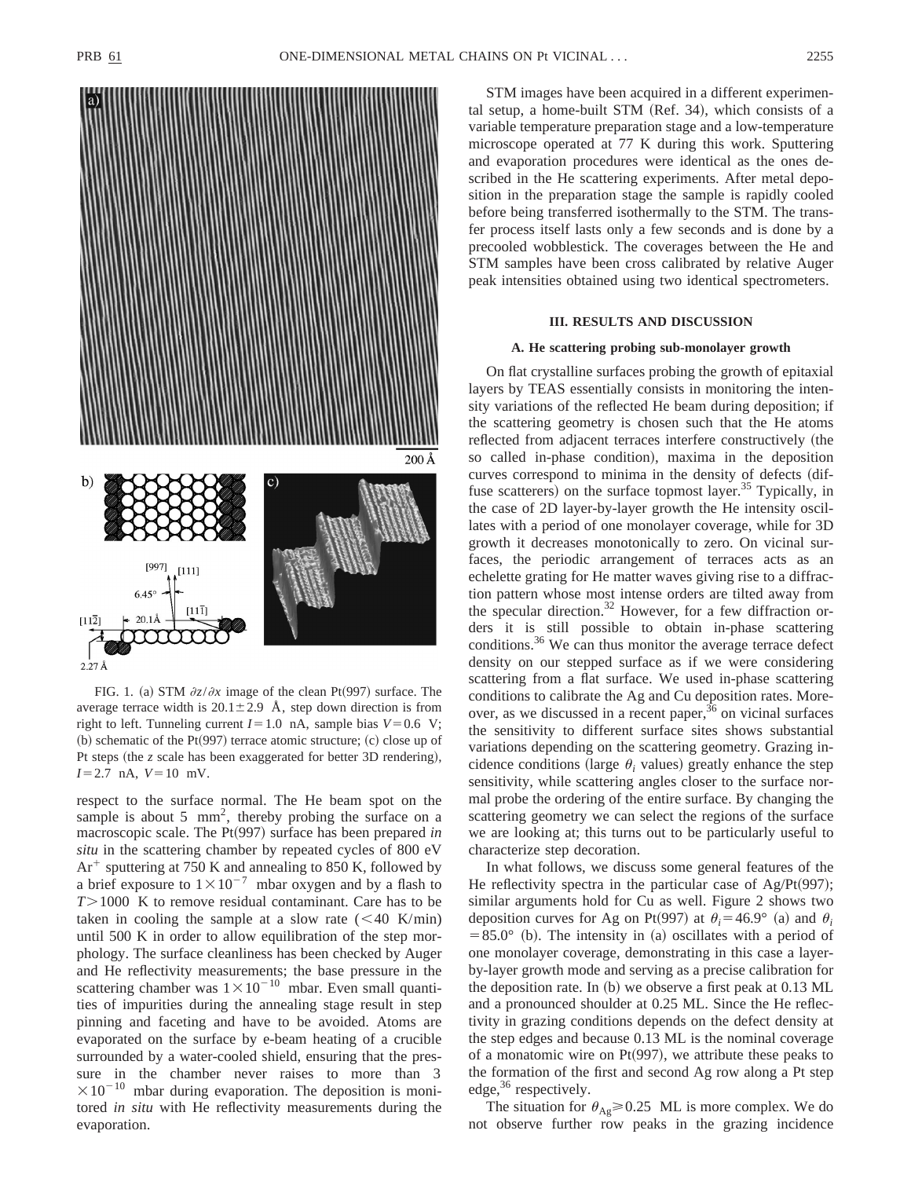

FIG. 1. (a) STM  $\partial z/\partial x$  image of the clean Pt(997) surface. The average terrace width is  $20.1 \pm 2.9$  Å, step down direction is from right to left. Tunneling current  $I=1.0$  nA, sample bias  $V=0.6$  V;  $~$  (b) schematic of the Pt $(997)$  terrace atomic structure;  $~$  (c) close up of Pt steps (the *z* scale has been exaggerated for better 3D rendering),  $I=2.7$  nA,  $V=10$  mV.

respect to the surface normal. The He beam spot on the sample is about 5  $mm<sup>2</sup>$ , thereby probing the surface on a macroscopic scale. The Pt(997) surface has been prepared *in situ* in the scattering chamber by repeated cycles of 800 eV  $Ar^+$  sputtering at 750 K and annealing to 850 K, followed by a brief exposure to  $1 \times 10^{-7}$  mbar oxygen and by a flash to *T* $>1000$  K to remove residual contaminant. Care has to be taken in cooling the sample at a slow rate  $(< 40 \text{ K/min})$ until 500 K in order to allow equilibration of the step morphology. The surface cleanliness has been checked by Auger and He reflectivity measurements; the base pressure in the scattering chamber was  $1 \times 10^{-10}$  mbar. Even small quantities of impurities during the annealing stage result in step pinning and faceting and have to be avoided. Atoms are evaporated on the surface by e-beam heating of a crucible surrounded by a water-cooled shield, ensuring that the pressure in the chamber never raises to more than 3  $\times 10^{-10}$  mbar during evaporation. The deposition is monitored *in situ* with He reflectivity measurements during the evaporation.

STM images have been acquired in a different experimental setup, a home-built STM  $(Ref. 34)$ , which consists of a variable temperature preparation stage and a low-temperature microscope operated at 77 K during this work. Sputtering and evaporation procedures were identical as the ones described in the He scattering experiments. After metal deposition in the preparation stage the sample is rapidly cooled before being transferred isothermally to the STM. The transfer process itself lasts only a few seconds and is done by a precooled wobblestick. The coverages between the He and STM samples have been cross calibrated by relative Auger peak intensities obtained using two identical spectrometers.

### **III. RESULTS AND DISCUSSION**

#### **A. He scattering probing sub-monolayer growth**

On flat crystalline surfaces probing the growth of epitaxial layers by TEAS essentially consists in monitoring the intensity variations of the reflected He beam during deposition; if the scattering geometry is chosen such that the He atoms reflected from adjacent terraces interfere constructively (the so called in-phase condition), maxima in the deposition curves correspond to minima in the density of defects (diffuse scatterers) on the surface topmost layer.<sup>35</sup> Typically, in the case of 2D layer-by-layer growth the He intensity oscillates with a period of one monolayer coverage, while for 3D growth it decreases monotonically to zero. On vicinal surfaces, the periodic arrangement of terraces acts as an echelette grating for He matter waves giving rise to a diffraction pattern whose most intense orders are tilted away from the specular direction.<sup>32</sup> However, for a few diffraction orders it is still possible to obtain in-phase scattering conditions.<sup>36</sup> We can thus monitor the average terrace defect density on our stepped surface as if we were considering scattering from a flat surface. We used in-phase scattering conditions to calibrate the Ag and Cu deposition rates. Moreover, as we discussed in a recent paper,  $36$  on vicinal surfaces the sensitivity to different surface sites shows substantial variations depending on the scattering geometry. Grazing incidence conditions (large  $\theta_i$  values) greatly enhance the step sensitivity, while scattering angles closer to the surface normal probe the ordering of the entire surface. By changing the scattering geometry we can select the regions of the surface we are looking at; this turns out to be particularly useful to characterize step decoration.

In what follows, we discuss some general features of the He reflectivity spectra in the particular case of Ag/Pt $(997)$ ; similar arguments hold for Cu as well. Figure 2 shows two deposition curves for Ag on Pt(997) at  $\theta_i = 46.9^\circ$  (a) and  $\theta_i$  $=85.0^{\circ}$  (b). The intensity in (a) oscillates with a period of one monolayer coverage, demonstrating in this case a layerby-layer growth mode and serving as a precise calibration for the deposition rate. In  $(b)$  we observe a first peak at 0.13 ML and a pronounced shoulder at 0.25 ML. Since the He reflectivity in grazing conditions depends on the defect density at the step edges and because 0.13 ML is the nominal coverage of a monatomic wire on  $Pt(997)$ , we attribute these peaks to the formation of the first and second Ag row along a Pt step edge,<sup>36</sup> respectively.

The situation for  $\theta_{\text{Ag}} \geq 0.25$  ML is more complex. We do not observe further row peaks in the grazing incidence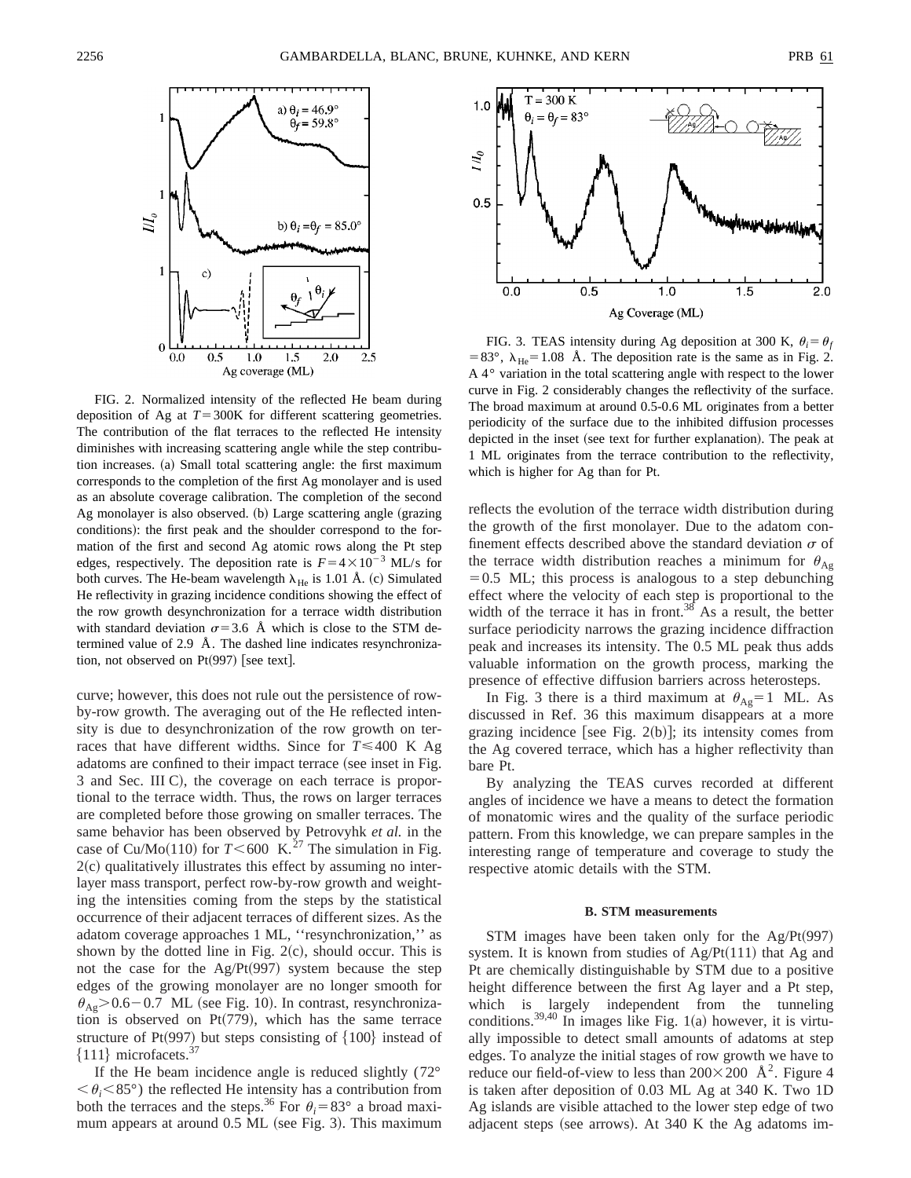

FIG. 2. Normalized intensity of the reflected He beam during deposition of Ag at  $T=300K$  for different scattering geometries. The contribution of the flat terraces to the reflected He intensity diminishes with increasing scattering angle while the step contribution increases. (a) Small total scattering angle: the first maximum corresponds to the completion of the first Ag monolayer and is used as an absolute coverage calibration. The completion of the second Ag monolayer is also observed.  $(b)$  Large scattering angle (grazing conditions): the first peak and the shoulder correspond to the formation of the first and second Ag atomic rows along the Pt step edges, respectively. The deposition rate is  $F=4\times10^{-3}$  ML/s for both curves. The He-beam wavelength  $\lambda_{\text{He}}$  is 1.01 Å. (c) Simulated He reflectivity in grazing incidence conditions showing the effect of the row growth desynchronization for a terrace width distribution with standard deviation  $\sigma$ =3.6 Å which is close to the STM determined value of 2.9 Å. The dashed line indicates resynchronization, not observed on  $Pt(997)$  [see text].

curve; however, this does not rule out the persistence of rowby-row growth. The averaging out of the He reflected intensity is due to desynchronization of the row growth on terraces that have different widths. Since for  $T \le 400$  K Ag adatoms are confined to their impact terrace (see inset in Fig. 3 and Sec. III C), the coverage on each terrace is proportional to the terrace width. Thus, the rows on larger terraces are completed before those growing on smaller terraces. The same behavior has been observed by Petrovyhk *et al.* in the case of Cu/Mo(110) for  $T < 600$  K.<sup>27</sup> The simulation in Fig.  $2(c)$  qualitatively illustrates this effect by assuming no interlayer mass transport, perfect row-by-row growth and weighting the intensities coming from the steps by the statistical occurrence of their adjacent terraces of different sizes. As the adatom coverage approaches 1 ML, ''resynchronization,'' as shown by the dotted line in Fig.  $2(c)$ , should occur. This is not the case for the  $Ag/Pt(997)$  system because the step edges of the growing monolayer are no longer smooth for  $\theta_{\text{Ag}}$  > 0.6 – 0.7 ML (see Fig. 10). In contrast, resynchronization is observed on Pt $(779)$ , which has the same terrace structure of Pt(997) but steps consisting of  ${100}$  instead of  ${111}$  microfacets.<sup>37</sup>

If the He beam incidence angle is reduced slightly  $(72^{\circ}$  $\langle \theta_i \langle 85^\circ \rangle$  the reflected He intensity has a contribution from both the terraces and the steps.<sup>36</sup> For  $\theta_i = 83^\circ$  a broad maximum appears at around 0.5 ML (see Fig. 3). This maximum



FIG. 3. TEAS intensity during Ag deposition at 300 K,  $\theta_i = \theta_f$ =83°,  $\lambda_{\text{He}}$ =1.08 Å. The deposition rate is the same as in Fig. 2. A 4° variation in the total scattering angle with respect to the lower curve in Fig. 2 considerably changes the reflectivity of the surface. The broad maximum at around 0.5-0.6 ML originates from a better periodicity of the surface due to the inhibited diffusion processes depicted in the inset (see text for further explanation). The peak at 1 ML originates from the terrace contribution to the reflectivity, which is higher for Ag than for Pt.

reflects the evolution of the terrace width distribution during the growth of the first monolayer. Due to the adatom confinement effects described above the standard deviation  $\sigma$  of the terrace width distribution reaches a minimum for  $\theta_{Ag}$  $=0.5$  ML; this process is analogous to a step debunching effect where the velocity of each step is proportional to the width of the terrace it has in front.<sup>38</sup> As a result, the better surface periodicity narrows the grazing incidence diffraction peak and increases its intensity. The 0.5 ML peak thus adds valuable information on the growth process, marking the presence of effective diffusion barriers across heterosteps.

In Fig. 3 there is a third maximum at  $\theta_{\text{Ag}}=1$  ML. As discussed in Ref. 36 this maximum disappears at a more grazing incidence [see Fig. 2(b)]; its intensity comes from the Ag covered terrace, which has a higher reflectivity than bare Pt.

By analyzing the TEAS curves recorded at different angles of incidence we have a means to detect the formation of monatomic wires and the quality of the surface periodic pattern. From this knowledge, we can prepare samples in the interesting range of temperature and coverage to study the respective atomic details with the STM.

### **B. STM measurements**

STM images have been taken only for the  $Ag/Pt(997)$ system. It is known from studies of  $Ag/Pt(111)$  that Ag and Pt are chemically distinguishable by STM due to a positive height difference between the first Ag layer and a Pt step, which is largely independent from the tunneling conditions.<sup>39,40</sup> In images like Fig. 1(a) however, it is virtually impossible to detect small amounts of adatoms at step edges. To analyze the initial stages of row growth we have to reduce our field-of-view to less than  $200 \times 200$  Å<sup>2</sup>. Figure 4 is taken after deposition of 0.03 ML Ag at 340 K. Two 1D Ag islands are visible attached to the lower step edge of two adjacent steps (see arrows). At  $340 \text{ K}$  the Ag adatoms im-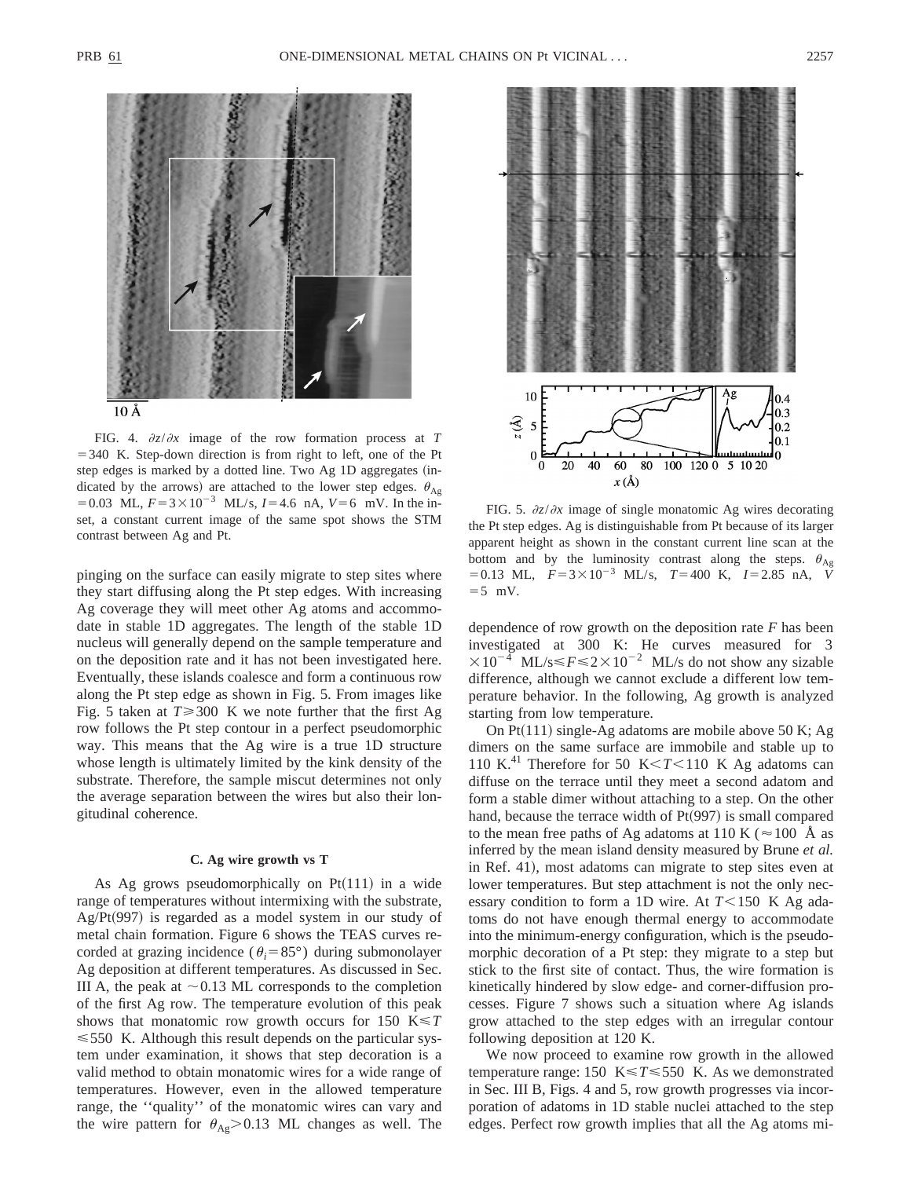

FIG. 4.  $\partial z/\partial x$  image of the row formation process at *T*  $=$  340 K. Step-down direction is from right to left, one of the Pt step edges is marked by a dotted line. Two Ag 1D aggregates (indicated by the arrows) are attached to the lower step edges.  $\theta_{Ag}$ = 0.03 ML,  $F = 3 \times 10^{-3}$  ML/s,  $I = 4.6$  nA,  $V = 6$  mV. In the inset, a constant current image of the same spot shows the STM contrast between Ag and Pt.

pinging on the surface can easily migrate to step sites where they start diffusing along the Pt step edges. With increasing Ag coverage they will meet other Ag atoms and accommodate in stable 1D aggregates. The length of the stable 1D nucleus will generally depend on the sample temperature and on the deposition rate and it has not been investigated here. Eventually, these islands coalesce and form a continuous row along the Pt step edge as shown in Fig. 5. From images like Fig. 5 taken at  $T \ge 300$  K we note further that the first Ag row follows the Pt step contour in a perfect pseudomorphic way. This means that the Ag wire is a true 1D structure whose length is ultimately limited by the kink density of the substrate. Therefore, the sample miscut determines not only the average separation between the wires but also their longitudinal coherence.

### **C. Ag wire growth vs T**

As Ag grows pseudomorphically on  $Pt(111)$  in a wide range of temperatures without intermixing with the substrate, Ag/Pt(997) is regarded as a model system in our study of metal chain formation. Figure 6 shows the TEAS curves recorded at grazing incidence ( $\theta_i = 85^\circ$ ) during submonolayer Ag deposition at different temperatures. As discussed in Sec. III A, the peak at  $\sim$  0.13 ML corresponds to the completion of the first Ag row. The temperature evolution of this peak shows that monatomic row growth occurs for 150 K<*T*  $\leq 550$  K. Although this result depends on the particular system under examination, it shows that step decoration is a valid method to obtain monatomic wires for a wide range of temperatures. However, even in the allowed temperature range, the ''quality'' of the monatomic wires can vary and the wire pattern for  $\theta_{\text{Ag}} > 0.13$  ML changes as well. The



FIG. 5.  $\partial z/\partial x$  image of single monatomic Ag wires decorating the Pt step edges. Ag is distinguishable from Pt because of its larger apparent height as shown in the constant current line scan at the bottom and by the luminosity contrast along the steps.  $\theta_{Ag}$  $=0.13$  ML,  $F=3\times10^{-3}$  ML/s,  $T=400$  K,  $I=2.85$  nA,  $\check{V}$  $=5$  mV.

dependence of row growth on the deposition rate *F* has been investigated at 300 K: He curves measured for 3  $\times 10^{-4}$  ML/s  $\le F \le 2 \times 10^{-2}$  ML/s do not show any sizable difference, although we cannot exclude a different low temperature behavior. In the following, Ag growth is analyzed starting from low temperature.

On  $Pt(111)$  single-Ag adatoms are mobile above 50 K; Ag dimers on the same surface are immobile and stable up to 110 K.<sup>41</sup> Therefore for 50 K< $T$ <110 K Ag adatoms can diffuse on the terrace until they meet a second adatom and form a stable dimer without attaching to a step. On the other hand, because the terrace width of  $Pt(997)$  is small compared to the mean free paths of Ag adatoms at 110 K ( $\approx$  100 Å as inferred by the mean island density measured by Brune *et al.* in Ref. 41), most adatoms can migrate to step sites even at lower temperatures. But step attachment is not the only necessary condition to form a 1D wire. At  $T \le 150$  K Ag adatoms do not have enough thermal energy to accommodate into the minimum-energy configuration, which is the pseudomorphic decoration of a Pt step: they migrate to a step but stick to the first site of contact. Thus, the wire formation is kinetically hindered by slow edge- and corner-diffusion processes. Figure 7 shows such a situation where Ag islands grow attached to the step edges with an irregular contour following deposition at 120 K.

We now proceed to examine row growth in the allowed temperature range: 150  $K \le T \le 550$  K. As we demonstrated in Sec. III B, Figs. 4 and 5, row growth progresses via incorporation of adatoms in 1D stable nuclei attached to the step edges. Perfect row growth implies that all the Ag atoms mi-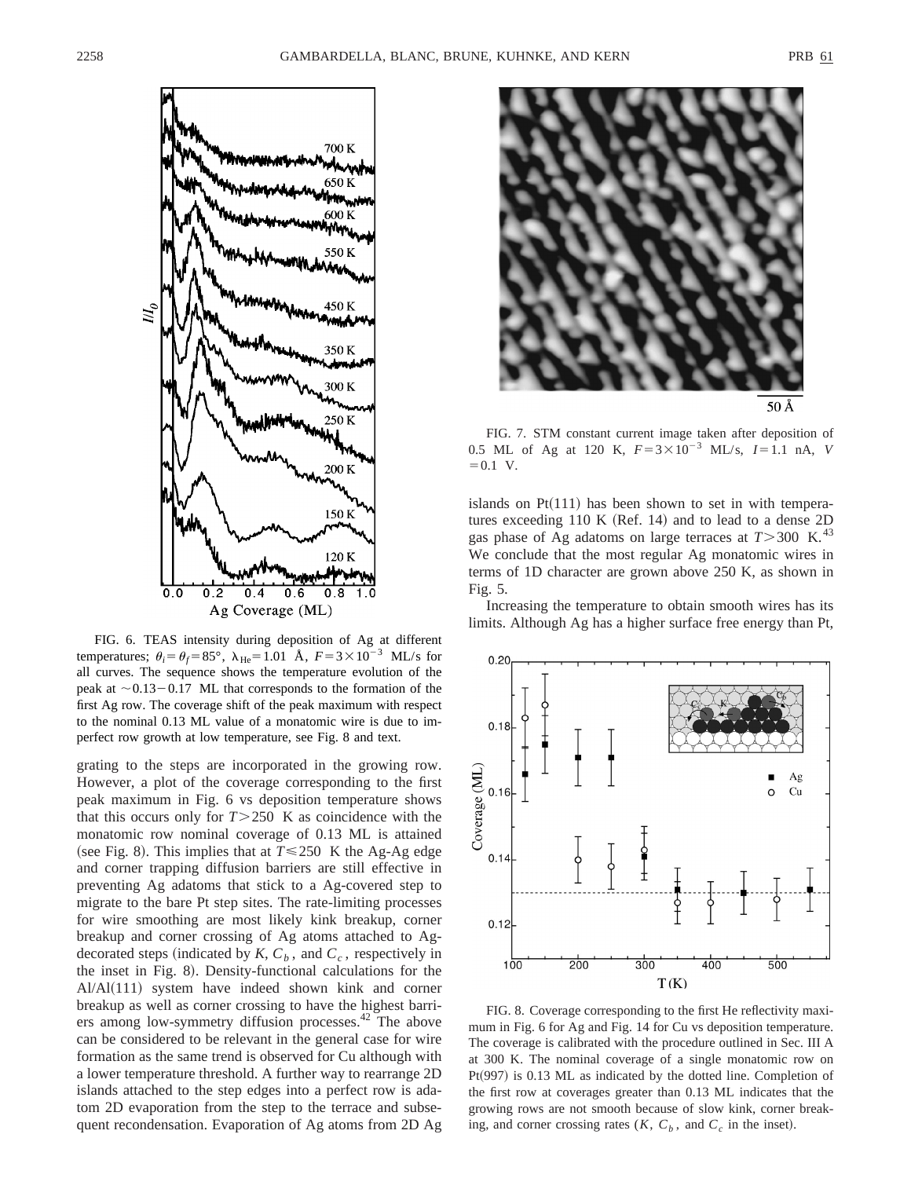

FIG. 6. TEAS intensity during deposition of Ag at different temperatures;  $\theta_i = \theta_f = 85^\circ$ ,  $\lambda_{\text{He}} = 1.01 \text{ Å}$ ,  $F = 3 \times 10^{-3} \text{ ML/s}$  for all curves. The sequence shows the temperature evolution of the peak at  $\sim$  0.13–0.17 ML that corresponds to the formation of the first Ag row. The coverage shift of the peak maximum with respect to the nominal 0.13 ML value of a monatomic wire is due to imperfect row growth at low temperature, see Fig. 8 and text.

grating to the steps are incorporated in the growing row. However, a plot of the coverage corresponding to the first peak maximum in Fig. 6 vs deposition temperature shows that this occurs only for  $T > 250$  K as coincidence with the monatomic row nominal coverage of 0.13 ML is attained (see Fig. 8). This implies that at  $T \le 250$  K the Ag-Ag edge and corner trapping diffusion barriers are still effective in preventing Ag adatoms that stick to a Ag-covered step to migrate to the bare Pt step sites. The rate-limiting processes for wire smoothing are most likely kink breakup, corner breakup and corner crossing of Ag atoms attached to Agdecorated steps (indicated by  $K$ ,  $C_b$ , and  $C_c$ , respectively in the inset in Fig. 8). Density-functional calculations for the  $A1/A1(111)$  system have indeed shown kink and corner breakup as well as corner crossing to have the highest barriers among low-symmetry diffusion processes.<sup>42</sup> The above can be considered to be relevant in the general case for wire formation as the same trend is observed for Cu although with a lower temperature threshold. A further way to rearrange 2D islands attached to the step edges into a perfect row is adatom 2D evaporation from the step to the terrace and subsequent recondensation. Evaporation of Ag atoms from 2D Ag



FIG. 7. STM constant current image taken after deposition of 0.5 ML of Ag at 120 K,  $F=3\times10^{-3}$  ML/s,  $I=1.1$  nA, *V*  $=0.1$  V.

islands on  $Pt(111)$  has been shown to set in with temperatures exceeding  $110 K (Ref. 14)$  and to lead to a dense  $2D$ gas phase of Ag adatoms on large terraces at  $T > 300$  K.<sup>43</sup> We conclude that the most regular Ag monatomic wires in terms of 1D character are grown above 250 K, as shown in Fig. 5.

Increasing the temperature to obtain smooth wires has its limits. Although Ag has a higher surface free energy than Pt,



FIG. 8. Coverage corresponding to the first He reflectivity maximum in Fig. 6 for Ag and Fig. 14 for Cu vs deposition temperature. The coverage is calibrated with the procedure outlined in Sec. III A at 300 K. The nominal coverage of a single monatomic row on  $Pt(997)$  is 0.13 ML as indicated by the dotted line. Completion of the first row at coverages greater than 0.13 ML indicates that the growing rows are not smooth because of slow kink, corner breaking, and corner crossing rates  $(K, C_b)$ , and  $C_c$  in the inset).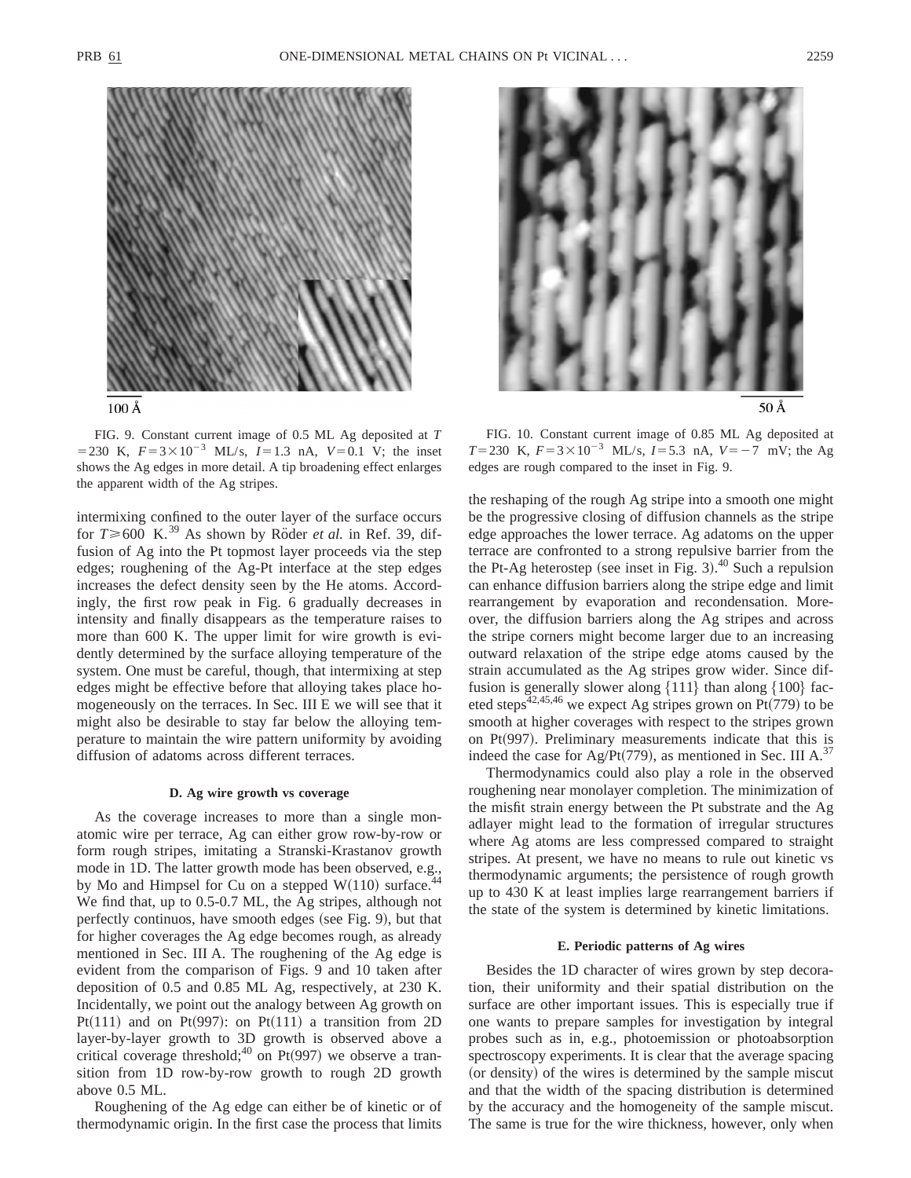

FIG. 9. Constant current image of 0.5 ML Ag deposited at *T* = 230 K,  $F = 3 \times 10^{-3}$  ML/s,  $I = 1.3$  nA,  $V = 0.1$  V; the inset shows the Ag edges in more detail. A tip broadening effect enlarges the apparent width of the Ag stripes.

intermixing confined to the outer layer of the surface occurs for  $T \ge 600$  K.<sup>39</sup> As shown by Röder *et al.* in Ref. 39, diffusion of Ag into the Pt topmost layer proceeds via the step edges; roughening of the Ag-Pt interface at the step edges increases the defect density seen by the He atoms. Accordingly, the first row peak in Fig. 6 gradually decreases in intensity and finally disappears as the temperature raises to more than 600 K. The upper limit for wire growth is evidently determined by the surface alloying temperature of the system. One must be careful, though, that intermixing at step edges might be effective before that alloying takes place homogeneously on the terraces. In Sec. III E we will see that it might also be desirable to stay far below the alloying temperature to maintain the wire pattern uniformity by avoiding diffusion of adatoms across different terraces.

### **D. Ag wire growth vs coverage**

As the coverage increases to more than a single monatomic wire per terrace, Ag can either grow row-by-row or form rough stripes, imitating a Stranski-Krastanov growth mode in 1D. The latter growth mode has been observed, e.g., by Mo and Himpsel for Cu on a stepped  $W(110)$  surface.<sup>4</sup> We find that, up to 0.5-0.7 ML, the Ag stripes, although not perfectly continuos, have smooth edges (see Fig. 9), but that for higher coverages the Ag edge becomes rough, as already mentioned in Sec. III A. The roughening of the Ag edge is evident from the comparison of Figs. 9 and 10 taken after deposition of 0.5 and 0.85 ML Ag, respectively, at 230 K. Incidentally, we point out the analogy between Ag growth on Pt $(111)$  and on Pt $(997)$ : on Pt $(111)$  a transition from 2D layer-by-layer growth to 3D growth is observed above a critical coverage threshold;<sup>40</sup> on Pt(997) we observe a transition from 1D row-by-row growth to rough 2D growth above 0.5 ML.

Roughening of the Ag edge can either be of kinetic or of thermodynamic origin. In the first case the process that limits



FIG. 10. Constant current image of 0.85 ML Ag deposited at *T*=230 K,  $F=3\times10^{-3}$  ML/s, *I*=5.3 nA, *V*=-7 mV; the Ag edges are rough compared to the inset in Fig. 9.

the reshaping of the rough Ag stripe into a smooth one might be the progressive closing of diffusion channels as the stripe edge approaches the lower terrace. Ag adatoms on the upper terrace are confronted to a strong repulsive barrier from the the Pt-Ag heterostep (see inset in Fig. 3). $40$  Such a repulsion can enhance diffusion barriers along the stripe edge and limit rearrangement by evaporation and recondensation. Moreover, the diffusion barriers along the Ag stripes and across the stripe corners might become larger due to an increasing outward relaxation of the stripe edge atoms caused by the strain accumulated as the Ag stripes grow wider. Since diffusion is generally slower along  $\{111\}$  than along  $\{100\}$  faceted steps<sup>42,45,46</sup> we expect Ag stripes grown on Pt(779) to be smooth at higher coverages with respect to the stripes grown on  $Pt(997)$ . Preliminary measurements indicate that this is indeed the case for Ag/Pt(779), as mentioned in Sec. III A.<sup>37</sup>

Thermodynamics could also play a role in the observed roughening near monolayer completion. The minimization of the misfit strain energy between the Pt substrate and the Ag adlayer might lead to the formation of irregular structures where Ag atoms are less compressed compared to straight stripes. At present, we have no means to rule out kinetic vs thermodynamic arguments; the persistence of rough growth up to 430 K at least implies large rearrangement barriers if the state of the system is determined by kinetic limitations.

### **E. Periodic patterns of Ag wires**

Besides the 1D character of wires grown by step decoration, their uniformity and their spatial distribution on the surface are other important issues. This is especially true if one wants to prepare samples for investigation by integral probes such as in, e.g., photoemission or photoabsorption spectroscopy experiments. It is clear that the average spacing (or density) of the wires is determined by the sample miscut and that the width of the spacing distribution is determined by the accuracy and the homogeneity of the sample miscut. The same is true for the wire thickness, however, only when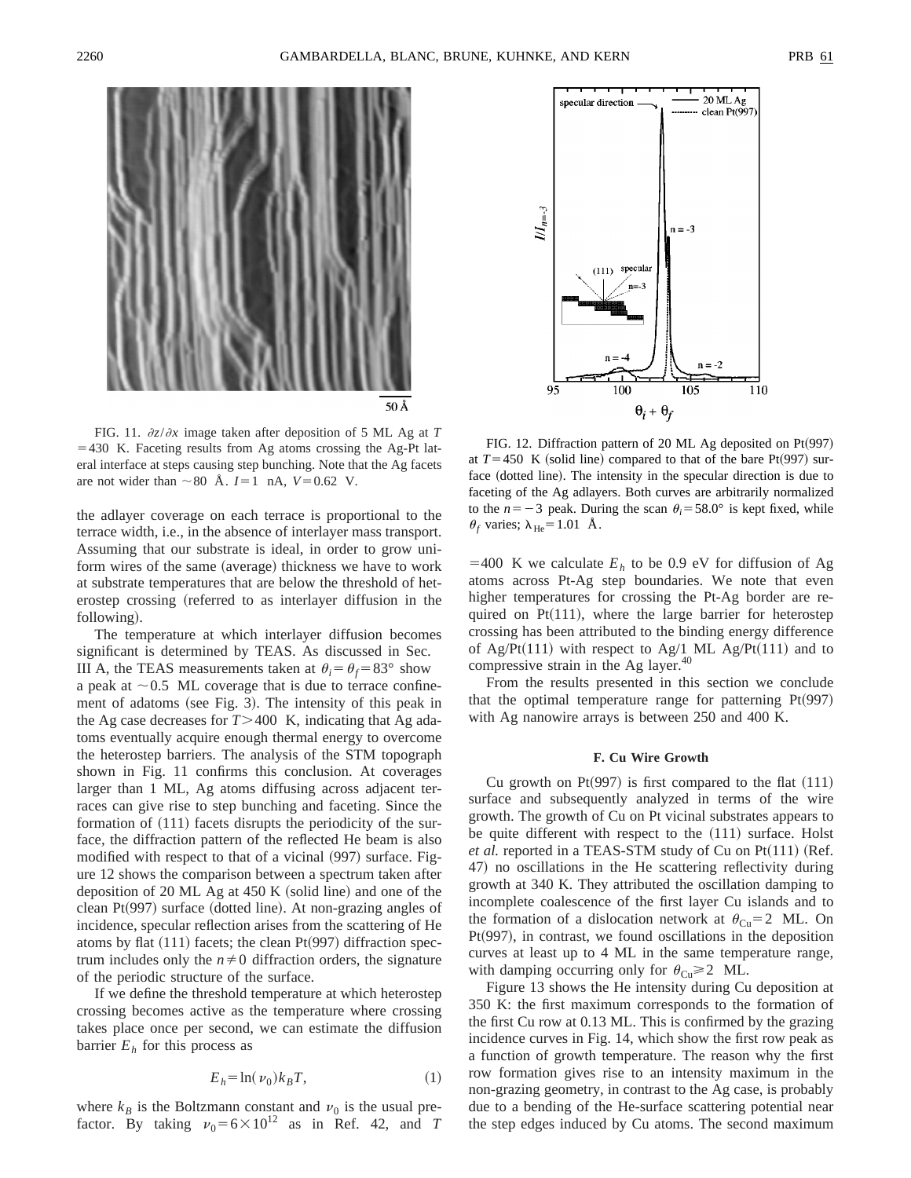

FIG. 11.  $\partial z/\partial x$  image taken after deposition of 5 ML Ag at *T*  $=430$  K. Faceting results from Ag atoms crossing the Ag-Pt lateral interface at steps causing step bunching. Note that the Ag facets are not wider than  $\sim 80$  Å.  $I=1$  nA,  $V=0.62$  V.

the adlayer coverage on each terrace is proportional to the terrace width, i.e., in the absence of interlayer mass transport. Assuming that our substrate is ideal, in order to grow uniform wires of the same (average) thickness we have to work at substrate temperatures that are below the threshold of heterostep crossing (referred to as interlayer diffusion in the following).

The temperature at which interlayer diffusion becomes significant is determined by TEAS. As discussed in Sec. III A, the TEAS measurements taken at  $\theta_i = \theta_f = 83^\circ$  show a peak at  $\sim$  0.5 ML coverage that is due to terrace confinement of adatoms (see Fig. 3). The intensity of this peak in the Ag case decreases for  $T > 400$  K, indicating that Ag adatoms eventually acquire enough thermal energy to overcome the heterostep barriers. The analysis of the STM topograph shown in Fig. 11 confirms this conclusion. At coverages larger than 1 ML, Ag atoms diffusing across adjacent terraces can give rise to step bunching and faceting. Since the formation of  $(111)$  facets disrupts the periodicity of the surface, the diffraction pattern of the reflected He beam is also modified with respect to that of a vicinal (997) surface. Figure 12 shows the comparison between a spectrum taken after deposition of  $20$  ML Ag at  $450$  K (solid line) and one of the clean  $Pt(997)$  surface (dotted line). At non-grazing angles of incidence, specular reflection arises from the scattering of He atoms by flat  $(111)$  facets; the clean Pt $(997)$  diffraction spectrum includes only the  $n\neq 0$  diffraction orders, the signature of the periodic structure of the surface.

If we define the threshold temperature at which heterostep crossing becomes active as the temperature where crossing takes place once per second, we can estimate the diffusion barrier  $E_h$  for this process as

$$
E_h = \ln(\nu_0) k_B T,\tag{1}
$$

where  $k_B$  is the Boltzmann constant and  $\nu_0$  is the usual prefactor. By taking  $v_0 = 6 \times 10^{12}$  as in Ref. 42, and *T* 



FIG. 12. Diffraction pattern of 20 ML Ag deposited on  $Pt(997)$ at  $T=450$  K (solid line) compared to that of the bare Pt(997) surface (dotted line). The intensity in the specular direction is due to faceting of the Ag adlayers. Both curves are arbitrarily normalized to the  $n=-3$  peak. During the scan  $\theta_i=58.0^\circ$  is kept fixed, while  $\theta_f$  varies;  $\lambda_{\text{He}}$ =1.01 Å.

 $=400$  K we calculate  $E<sub>h</sub>$  to be 0.9 eV for diffusion of Ag atoms across Pt-Ag step boundaries. We note that even higher temperatures for crossing the Pt-Ag border are required on  $Pt(111)$ , where the large barrier for heterostep crossing has been attributed to the binding energy difference of Ag/Pt(111) with respect to Ag/1 ML Ag/Pt(111) and to compressive strain in the Ag layer.<sup>40</sup>

From the results presented in this section we conclude that the optimal temperature range for patterning  $Pt(997)$ with Ag nanowire arrays is between 250 and 400 K.

## **F. Cu Wire Growth**

Cu growth on Pt $(997)$  is first compared to the flat  $(111)$ surface and subsequently analyzed in terms of the wire growth. The growth of Cu on Pt vicinal substrates appears to be quite different with respect to the  $(111)$  surface. Holst *et al.* reported in a TEAS-STM study of Cu on  $Pt(111)$  (Ref. 47) no oscillations in the He scattering reflectivity during growth at 340 K. They attributed the oscillation damping to incomplete coalescence of the first layer Cu islands and to the formation of a dislocation network at  $\theta_{Cu} = 2$  ML. On  $Pt(997)$ , in contrast, we found oscillations in the deposition curves at least up to 4 ML in the same temperature range, with damping occurring only for  $\theta_{Cu} \ge 2$  ML.

Figure 13 shows the He intensity during Cu deposition at 350 K: the first maximum corresponds to the formation of the first Cu row at 0.13 ML. This is confirmed by the grazing incidence curves in Fig. 14, which show the first row peak as a function of growth temperature. The reason why the first row formation gives rise to an intensity maximum in the non-grazing geometry, in contrast to the Ag case, is probably due to a bending of the He-surface scattering potential near the step edges induced by Cu atoms. The second maximum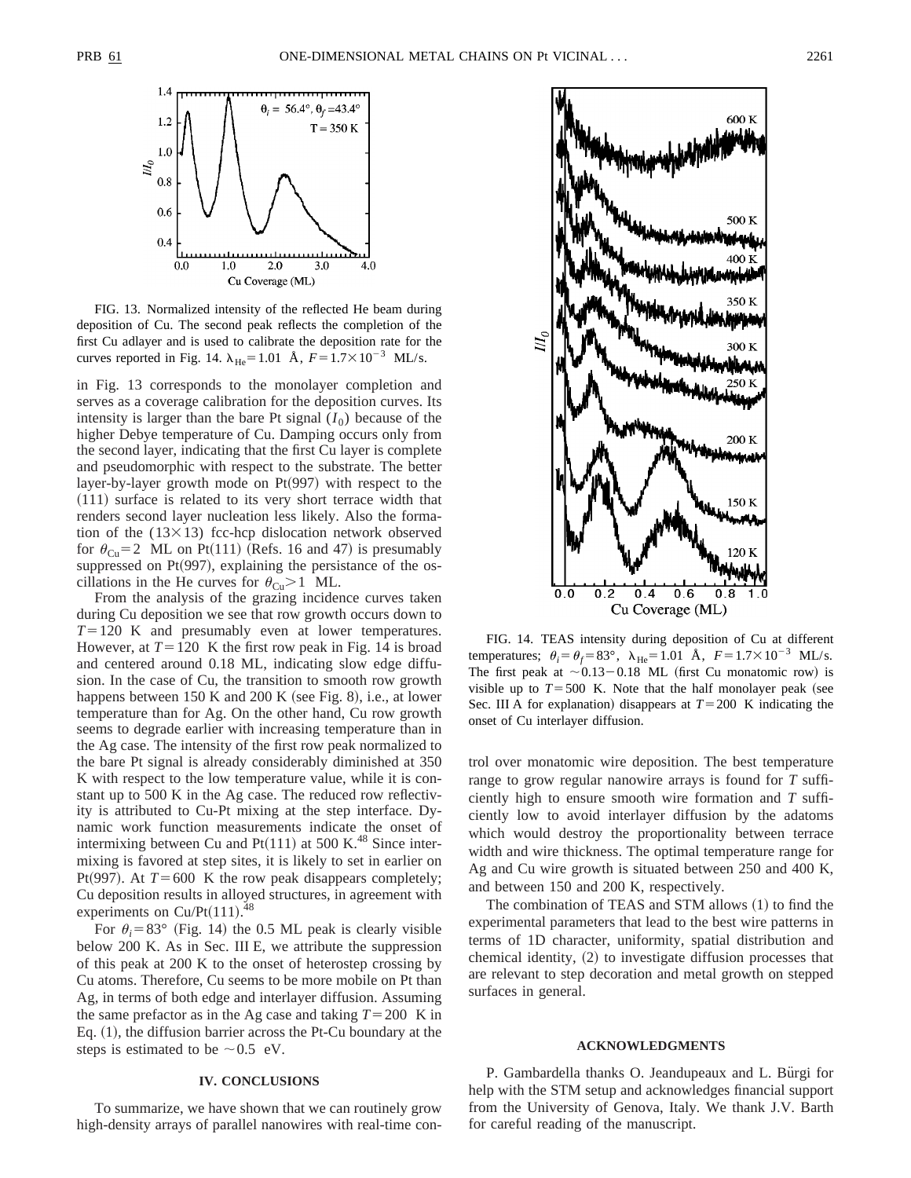

FIG. 13. Normalized intensity of the reflected He beam during deposition of Cu. The second peak reflects the completion of the first Cu adlayer and is used to calibrate the deposition rate for the curves reported in Fig. 14.  $\lambda_{\text{He}}$ =1.01 Å,  $F = 1.7 \times 10^{-3}$  ML/s.

in Fig. 13 corresponds to the monolayer completion and serves as a coverage calibration for the deposition curves. Its intensity is larger than the bare Pt signal  $(I_0)$  because of the higher Debye temperature of Cu. Damping occurs only from the second layer, indicating that the first Cu layer is complete and pseudomorphic with respect to the substrate. The better layer-by-layer growth mode on  $Pt(997)$  with respect to the  $(111)$  surface is related to its very short terrace width that renders second layer nucleation less likely. Also the formation of the  $(13\times13)$  fcc-hcp dislocation network observed for  $\theta_{\text{Cu}}$  = 2 ML on Pt(111) (Refs. 16 and 47) is presumably suppressed on  $Pt(997)$ , explaining the persistance of the oscillations in the He curves for  $\theta_{Cu} > 1$  ML.

From the analysis of the grazing incidence curves taken during Cu deposition we see that row growth occurs down to  $T=120$  K and presumably even at lower temperatures. However, at  $T=120$  K the first row peak in Fig. 14 is broad and centered around 0.18 ML, indicating slow edge diffusion. In the case of Cu, the transition to smooth row growth happens between 150 K and 200 K (see Fig. 8), i.e., at lower temperature than for Ag. On the other hand, Cu row growth seems to degrade earlier with increasing temperature than in the Ag case. The intensity of the first row peak normalized to the bare Pt signal is already considerably diminished at 350 K with respect to the low temperature value, while it is constant up to 500 K in the Ag case. The reduced row reflectivity is attributed to Cu-Pt mixing at the step interface. Dynamic work function measurements indicate the onset of intermixing between Cu and  $Pt(111)$  at 500 K.<sup>48</sup> Since intermixing is favored at step sites, it is likely to set in earlier on Pt<sup> $(997)$ </sup>. At  $T=600$  K the row peak disappears completely; Cu deposition results in alloyed structures, in agreement with experiments on Cu/Pt $(111).$ <sup>48</sup>

For  $\theta_i = 83^\circ$  (Fig. 14) the 0.5 ML peak is clearly visible below 200 K. As in Sec. III E, we attribute the suppression of this peak at 200 K to the onset of heterostep crossing by Cu atoms. Therefore, Cu seems to be more mobile on Pt than Ag, in terms of both edge and interlayer diffusion. Assuming the same prefactor as in the Ag case and taking  $T=200$  K in Eq.  $(1)$ , the diffusion barrier across the Pt-Cu boundary at the steps is estimated to be  $\sim 0.5$  eV.

# **IV. CONCLUSIONS**

To summarize, we have shown that we can routinely grow high-density arrays of parallel nanowires with real-time con-



FIG. 14. TEAS intensity during deposition of Cu at different temperatures;  $\theta_i = \theta_f = 83^\circ$ ,  $\lambda_{\text{He}} = 1.01 \text{ Å}$ ,  $F = 1.7 \times 10^{-3} \text{ ML/s}$ . The first peak at  $\sim 0.13-0.18$  ML (first Cu monatomic row) is visible up to  $T = 500$  K. Note that the half monolayer peak (see Sec. III A for explanation) disappears at  $T=200$  K indicating the onset of Cu interlayer diffusion.

trol over monatomic wire deposition. The best temperature range to grow regular nanowire arrays is found for *T* sufficiently high to ensure smooth wire formation and *T* sufficiently low to avoid interlayer diffusion by the adatoms which would destroy the proportionality between terrace width and wire thickness. The optimal temperature range for Ag and Cu wire growth is situated between 250 and 400 K, and between 150 and 200 K, respectively.

The combination of TEAS and STM allows  $(1)$  to find the experimental parameters that lead to the best wire patterns in terms of 1D character, uniformity, spatial distribution and chemical identity,  $(2)$  to investigate diffusion processes that are relevant to step decoration and metal growth on stepped surfaces in general.

### **ACKNOWLEDGMENTS**

P. Gambardella thanks O. Jeandupeaux and L. Bürgi for help with the STM setup and acknowledges financial support from the University of Genova, Italy. We thank J.V. Barth for careful reading of the manuscript.